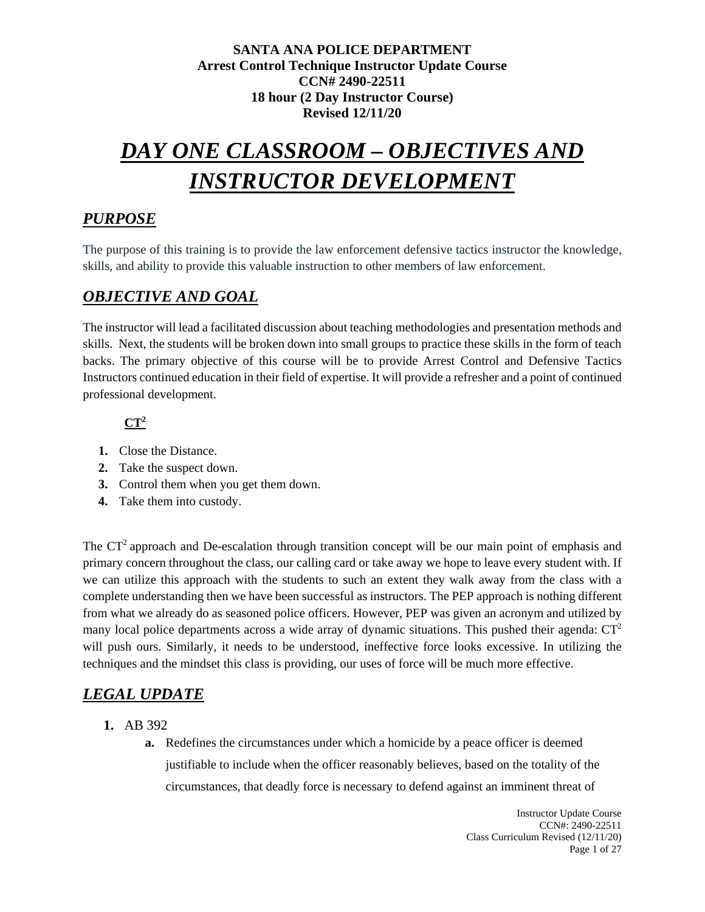# *DAY ONE CLASSROOM – OBJECTIVES AND INSTRUCTOR DEVELOPMENT*

# *PURPOSE*

The purpose of this training is to provide the law enforcement defensive tactics instructor the knowledge, skills, and ability to provide this valuable instruction to other members of law enforcement.

# *OBJECTIVE AND GOAL*

The instructor will lead a facilitated discussion about teaching methodologies and presentation methods and skills. Next, the students will be broken down into small groups to practice these skills in the form of teach backs. The primary objective of this course will be to provide Arrest Control and Defensive Tactics Instructors continued education in their field of expertise. It will provide a refresher and a point of continued professional development.

# **CT2**

- **1.** Close the Distance.
- **2.** Take the suspect down.
- **3.** Control them when you get them down.
- **4.** Take them into custody.

The  $CT<sup>2</sup>$  approach and De-escalation through transition concept will be our main point of emphasis and primary concern throughout the class, our calling card or take away we hope to leave every student with. If we can utilize this approach with the students to such an extent they walk away from the class with a complete understanding then we have been successful as instructors. The PEP approach is nothing different from what we already do as seasoned police officers. However, PEP was given an acronym and utilized by many local police departments across a wide array of dynamic situations. This pushed their agenda:  $CT<sup>2</sup>$ will push ours. Similarly, it needs to be understood, ineffective force looks excessive. In utilizing the techniques and the mindset this class is providing, our uses of force will be much more effective.

# *LEGAL UPDATE*

- **1.** AB 392
	- **a.** Redefines the circumstances under which a homicide by a peace officer is deemed justifiable to include when the officer reasonably believes, based on the totality of the circumstances, that deadly force is necessary to defend against an imminent threat of

Instructor Update Course CCN#: 2490-22511 Class Curriculum Revised (12/11/20) Page 1 of 27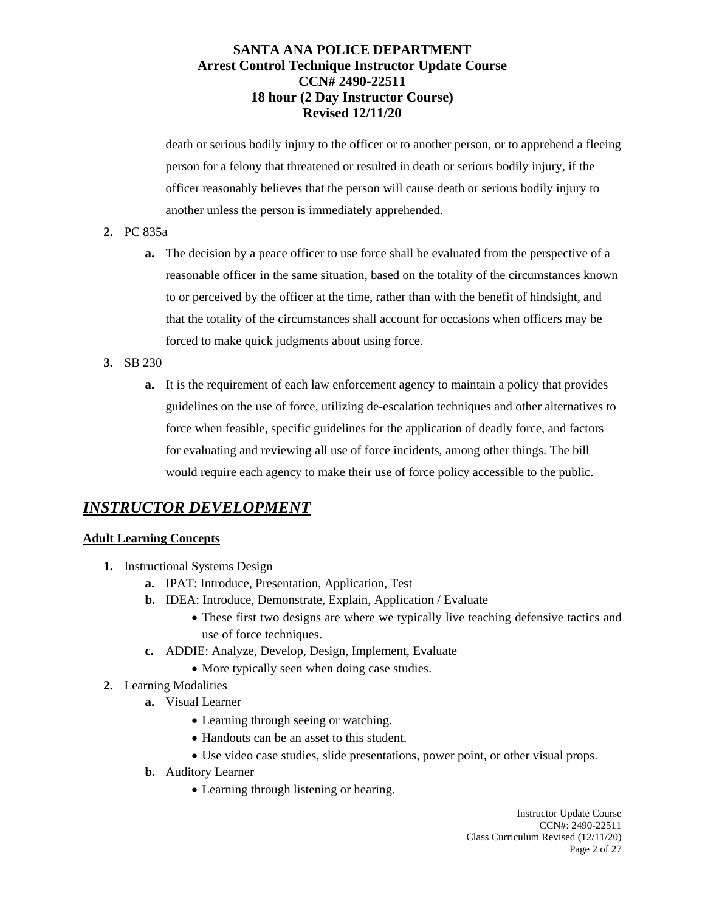death or serious bodily injury to the officer or to another person, or to apprehend a fleeing person for a felony that threatened or resulted in death or serious bodily injury, if the officer reasonably believes that the person will cause death or serious bodily injury to another unless the person is immediately apprehended.

- **2.** PC 835a
	- **a.** The decision by a peace officer to use force shall be evaluated from the perspective of a reasonable officer in the same situation, based on the totality of the circumstances known to or perceived by the officer at the time, rather than with the benefit of hindsight, and that the totality of the circumstances shall account for occasions when officers may be forced to make quick judgments about using force.
- **3.** SB 230
	- **a.** It is the requirement of each law enforcement agency to maintain a policy that provides guidelines on the use of force, utilizing de-escalation techniques and other alternatives to force when feasible, specific guidelines for the application of deadly force, and factors for evaluating and reviewing all use of force incidents, among other things. The bill would require each agency to make their use of force policy accessible to the public.

# *INSTRUCTOR DEVELOPMENT*

## **Adult Learning Concepts**

- **1.** Instructional Systems Design
	- **a.** IPAT: Introduce, Presentation, Application, Test
	- **b.** IDEA: Introduce, Demonstrate, Explain, Application / Evaluate
		- These first two designs are where we typically live teaching defensive tactics and use of force techniques.
	- **c.** ADDIE: Analyze, Develop, Design, Implement, Evaluate
		- More typically seen when doing case studies.
- **2.** Learning Modalities
	- **a.** Visual Learner
		- Learning through seeing or watching.
		- Handouts can be an asset to this student.
		- Use video case studies, slide presentations, power point, or other visual props.
	- **b.** Auditory Learner
		- Learning through listening or hearing.

Instructor Update Course CCN#: 2490-22511 Class Curriculum Revised (12/11/20) Page 2 of 27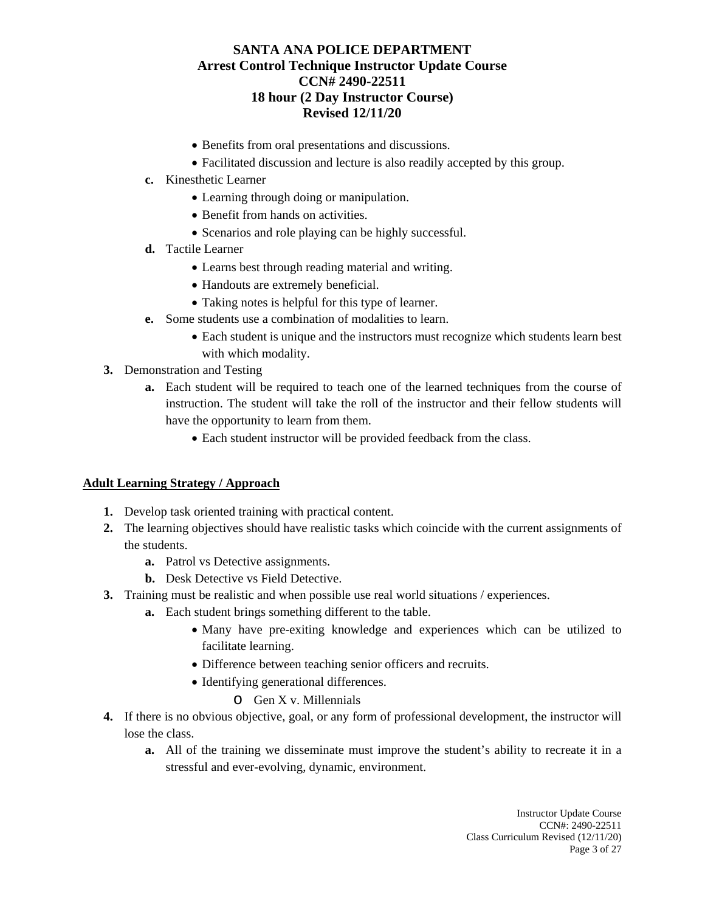- Benefits from oral presentations and discussions.
- Facilitated discussion and lecture is also readily accepted by this group.
- **c.** Kinesthetic Learner
	- Learning through doing or manipulation.
	- Benefit from hands on activities.
	- Scenarios and role playing can be highly successful.
- **d.** Tactile Learner
	- Learns best through reading material and writing.
	- Handouts are extremely beneficial.
	- Taking notes is helpful for this type of learner.
- **e.** Some students use a combination of modalities to learn.
	- Each student is unique and the instructors must recognize which students learn best with which modality.
- **3.** Demonstration and Testing
	- **a.** Each student will be required to teach one of the learned techniques from the course of instruction. The student will take the roll of the instructor and their fellow students will have the opportunity to learn from them.
		- Each student instructor will be provided feedback from the class.

#### **Adult Learning Strategy / Approach**

- **1.** Develop task oriented training with practical content.
- **2.** The learning objectives should have realistic tasks which coincide with the current assignments of the students.
	- **a.** Patrol vs Detective assignments.
	- **b.** Desk Detective vs Field Detective.
- **3.** Training must be realistic and when possible use real world situations / experiences.
	- **a.** Each student brings something different to the table.
		- Many have pre-exiting knowledge and experiences which can be utilized to facilitate learning.
		- Difference between teaching senior officers and recruits.
		- Identifying generational differences.
			- o Gen X v. Millennials
- **4.** If there is no obvious objective, goal, or any form of professional development, the instructor will lose the class.
	- **a.** All of the training we disseminate must improve the student's ability to recreate it in a stressful and ever-evolving, dynamic, environment.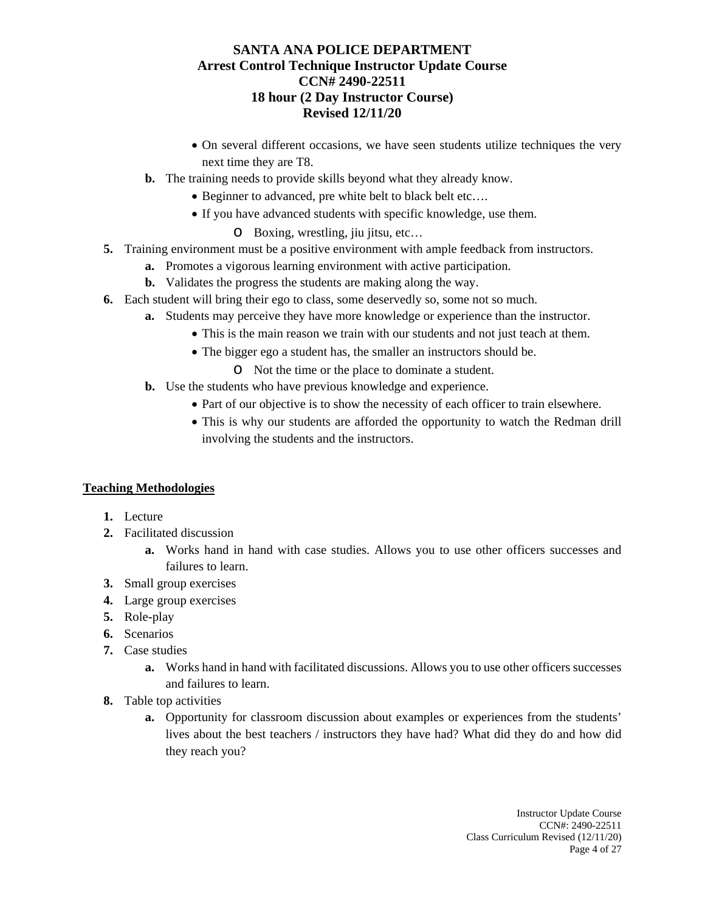- On several different occasions, we have seen students utilize techniques the very next time they are T8.
- **b.** The training needs to provide skills beyond what they already know.
	- Beginner to advanced, pre white belt to black belt etc….
	- If you have advanced students with specific knowledge, use them.
		- o Boxing, wrestling, jiu jitsu, etc…
- **5.** Training environment must be a positive environment with ample feedback from instructors.
	- **a.** Promotes a vigorous learning environment with active participation.
	- **b.** Validates the progress the students are making along the way.
- **6.** Each student will bring their ego to class, some deservedly so, some not so much.
	- **a.** Students may perceive they have more knowledge or experience than the instructor.
		- This is the main reason we train with our students and not just teach at them.
			- The bigger ego a student has, the smaller an instructors should be.
				- o Not the time or the place to dominate a student.
	- **b.** Use the students who have previous knowledge and experience.
		- Part of our objective is to show the necessity of each officer to train elsewhere.
		- This is why our students are afforded the opportunity to watch the Redman drill involving the students and the instructors.

## **Teaching Methodologies**

- **1.** Lecture
- **2.** Facilitated discussion
	- **a.** Works hand in hand with case studies. Allows you to use other officers successes and failures to learn.
- **3.** Small group exercises
- **4.** Large group exercises
- **5.** Role-play
- **6.** Scenarios
- **7.** Case studies
	- **a.** Works hand in hand with facilitated discussions. Allows you to use other officers successes and failures to learn.
- **8.** Table top activities
	- **a.** Opportunity for classroom discussion about examples or experiences from the students' lives about the best teachers / instructors they have had? What did they do and how did they reach you?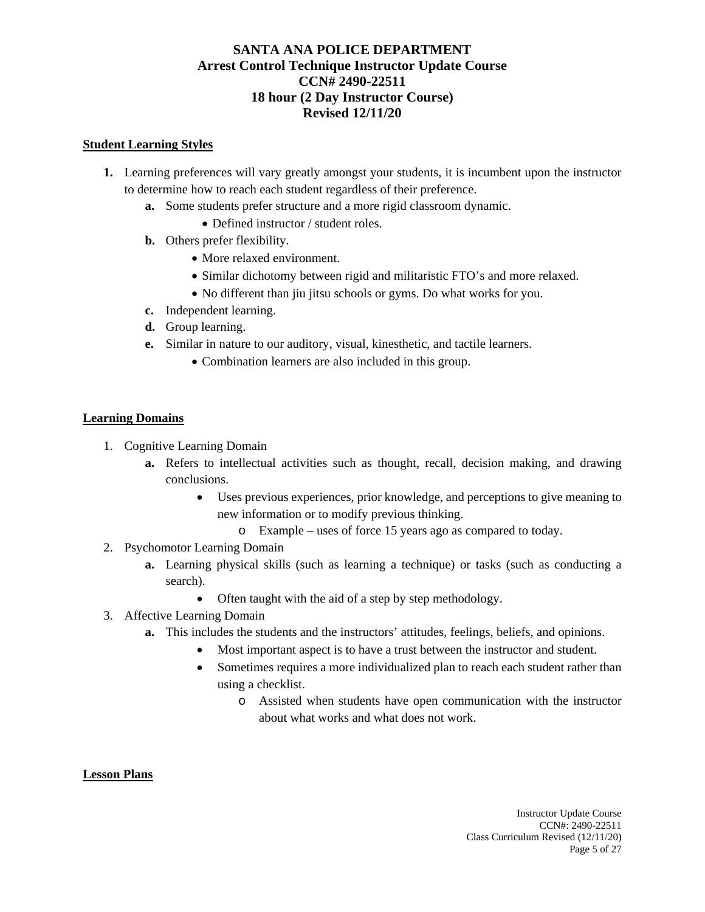#### **Student Learning Styles**

- **1.** Learning preferences will vary greatly amongst your students, it is incumbent upon the instructor to determine how to reach each student regardless of their preference.
	- **a.** Some students prefer structure and a more rigid classroom dynamic.
		- Defined instructor / student roles.
	- **b.** Others prefer flexibility.
		- More relaxed environment.
		- Similar dichotomy between rigid and militaristic FTO's and more relaxed.
		- No different than jiu jitsu schools or gyms. Do what works for you.
	- **c.** Independent learning.
	- **d.** Group learning.
	- **e.** Similar in nature to our auditory, visual, kinesthetic, and tactile learners.
		- Combination learners are also included in this group.

#### **Learning Domains**

- 1. Cognitive Learning Domain
	- **a.** Refers to intellectual activities such as thought, recall, decision making, and drawing conclusions.
		- Uses previous experiences, prior knowledge, and perceptions to give meaning to new information or to modify previous thinking.
			- o Example uses of force 15 years ago as compared to today.
- 2. Psychomotor Learning Domain
	- **a.** Learning physical skills (such as learning a technique) or tasks (such as conducting a search).
		- Often taught with the aid of a step by step methodology.
- 3. Affective Learning Domain
	- **a.** This includes the students and the instructors' attitudes, feelings, beliefs, and opinions.
		- Most important aspect is to have a trust between the instructor and student.
		- Sometimes requires a more individualized plan to reach each student rather than using a checklist.
			- o Assisted when students have open communication with the instructor about what works and what does not work.

#### **Lesson Plans**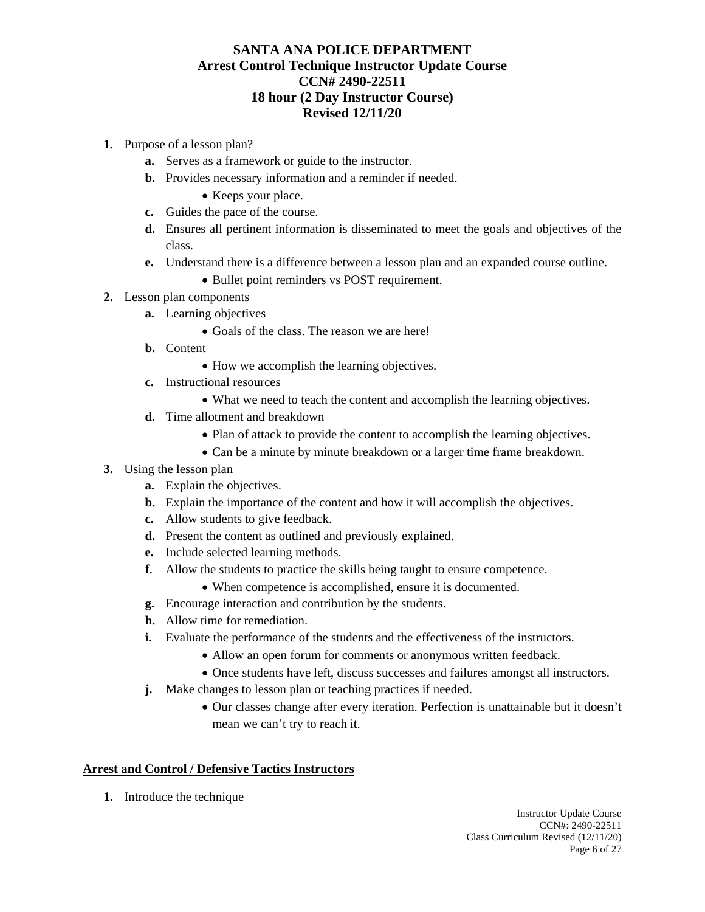- **1.** Purpose of a lesson plan?
	- **a.** Serves as a framework or guide to the instructor.
	- **b.** Provides necessary information and a reminder if needed.
		- Keeps your place.
	- **c.** Guides the pace of the course.
	- **d.** Ensures all pertinent information is disseminated to meet the goals and objectives of the class.
	- **e.** Understand there is a difference between a lesson plan and an expanded course outline.
		- Bullet point reminders vs POST requirement.
- **2.** Lesson plan components
	- **a.** Learning objectives
		- Goals of the class. The reason we are here!
	- **b.** Content
		- How we accomplish the learning objectives.
	- **c.** Instructional resources
		- What we need to teach the content and accomplish the learning objectives.
	- **d.** Time allotment and breakdown
		- Plan of attack to provide the content to accomplish the learning objectives.
		- Can be a minute by minute breakdown or a larger time frame breakdown.
- **3.** Using the lesson plan
	- **a.** Explain the objectives.
	- **b.** Explain the importance of the content and how it will accomplish the objectives.
	- **c.** Allow students to give feedback.
	- **d.** Present the content as outlined and previously explained.
	- **e.** Include selected learning methods.
	- **f.** Allow the students to practice the skills being taught to ensure competence.
		- When competence is accomplished, ensure it is documented.
	- **g.** Encourage interaction and contribution by the students.
	- **h.** Allow time for remediation.
	- **i.** Evaluate the performance of the students and the effectiveness of the instructors.
		- Allow an open forum for comments or anonymous written feedback.
		- Once students have left, discuss successes and failures amongst all instructors.
	- **j.** Make changes to lesson plan or teaching practices if needed.
		- Our classes change after every iteration. Perfection is unattainable but it doesn't mean we can't try to reach it.

## **Arrest and Control / Defensive Tactics Instructors**

**1.** Introduce the technique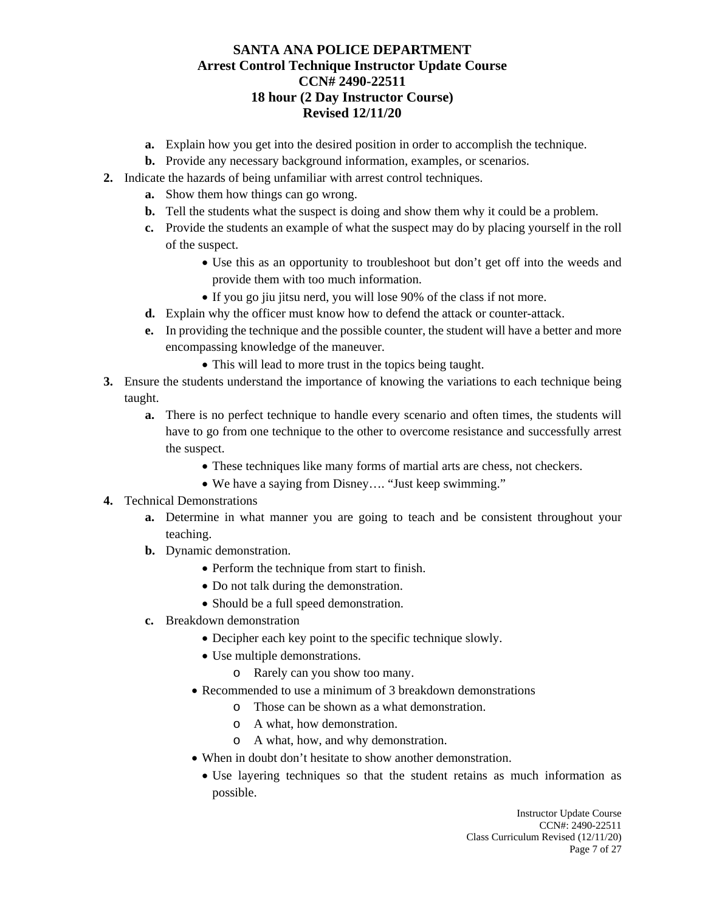- **a.** Explain how you get into the desired position in order to accomplish the technique.
- **b.** Provide any necessary background information, examples, or scenarios.
- **2.** Indicate the hazards of being unfamiliar with arrest control techniques.
	- **a.** Show them how things can go wrong.
	- **b.** Tell the students what the suspect is doing and show them why it could be a problem.
	- **c.** Provide the students an example of what the suspect may do by placing yourself in the roll of the suspect.
		- Use this as an opportunity to troubleshoot but don't get off into the weeds and provide them with too much information.
		- If you go jiu jitsu nerd, you will lose 90% of the class if not more.
	- **d.** Explain why the officer must know how to defend the attack or counter-attack.
	- **e.** In providing the technique and the possible counter, the student will have a better and more encompassing knowledge of the maneuver.
		- This will lead to more trust in the topics being taught.
- **3.** Ensure the students understand the importance of knowing the variations to each technique being taught.
	- **a.** There is no perfect technique to handle every scenario and often times, the students will have to go from one technique to the other to overcome resistance and successfully arrest the suspect.
		- These techniques like many forms of martial arts are chess, not checkers.
		- We have a saying from Disney…. "Just keep swimming."
- **4.** Technical Demonstrations
	- **a.** Determine in what manner you are going to teach and be consistent throughout your teaching.
	- **b.** Dynamic demonstration.
		- Perform the technique from start to finish.
		- Do not talk during the demonstration.
		- Should be a full speed demonstration.
	- **c.** Breakdown demonstration
		- Decipher each key point to the specific technique slowly.
		- Use multiple demonstrations.
			- o Rarely can you show too many.
		- Recommended to use a minimum of 3 breakdown demonstrations
			- o Those can be shown as a what demonstration.
			- o A what, how demonstration.
			- o A what, how, and why demonstration.
		- When in doubt don't hesitate to show another demonstration.
			- Use layering techniques so that the student retains as much information as possible.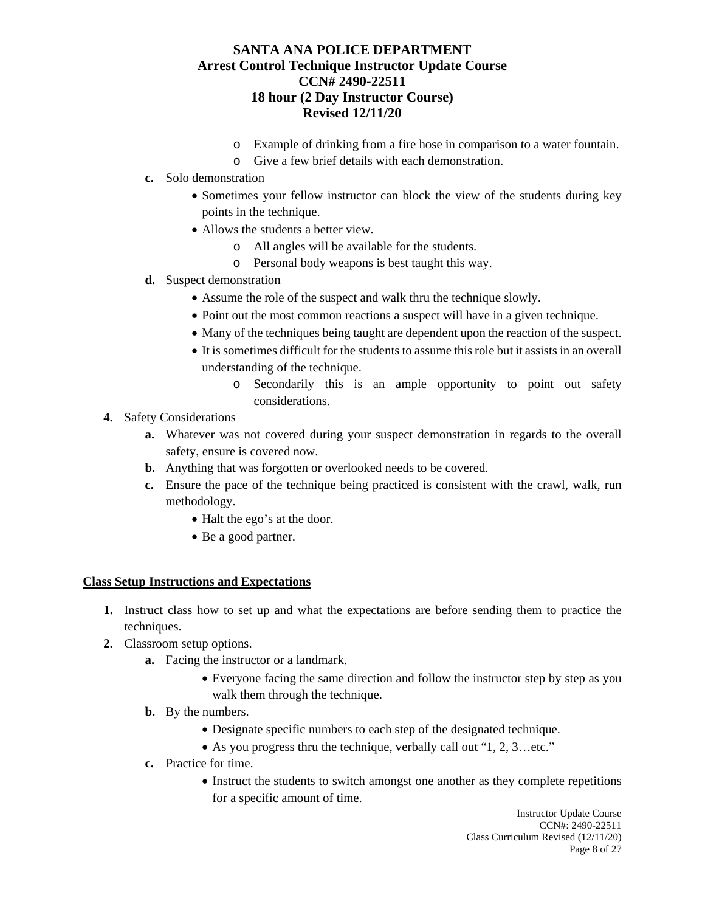- o Example of drinking from a fire hose in comparison to a water fountain.
- o Give a few brief details with each demonstration.
- **c.** Solo demonstration
	- Sometimes your fellow instructor can block the view of the students during key points in the technique.
	- Allows the students a better view.
		- o All angles will be available for the students.
		- o Personal body weapons is best taught this way.
- **d.** Suspect demonstration
	- Assume the role of the suspect and walk thru the technique slowly.
	- Point out the most common reactions a suspect will have in a given technique.
	- Many of the techniques being taught are dependent upon the reaction of the suspect.
	- It is sometimes difficult for the students to assume this role but it assists in an overall understanding of the technique.
		- o Secondarily this is an ample opportunity to point out safety considerations.
- **4.** Safety Considerations
	- **a.** Whatever was not covered during your suspect demonstration in regards to the overall safety, ensure is covered now.
	- **b.** Anything that was forgotten or overlooked needs to be covered.
	- **c.** Ensure the pace of the technique being practiced is consistent with the crawl, walk, run methodology.
		- Halt the ego's at the door.
		- Be a good partner.

#### **Class Setup Instructions and Expectations**

- **1.** Instruct class how to set up and what the expectations are before sending them to practice the techniques.
- **2.** Classroom setup options.
	- **a.** Facing the instructor or a landmark.
		- Everyone facing the same direction and follow the instructor step by step as you walk them through the technique.
		- **b.** By the numbers.
			- Designate specific numbers to each step of the designated technique.
			- As you progress thru the technique, verbally call out "1, 2, 3...etc."
	- **c.** Practice for time.
		- Instruct the students to switch amongst one another as they complete repetitions for a specific amount of time.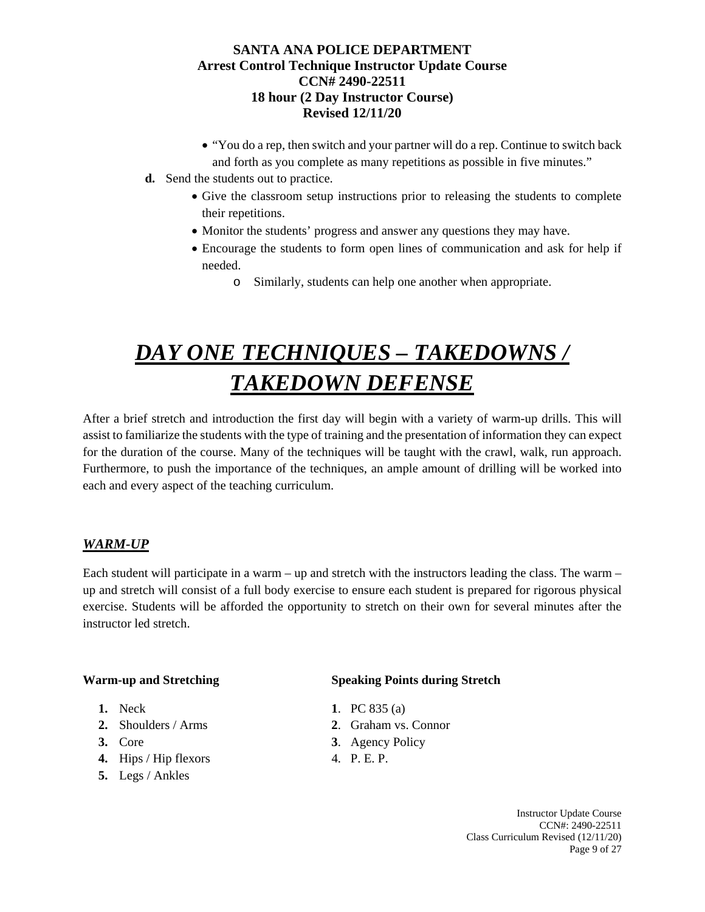- "You do a rep, then switch and your partner will do a rep. Continue to switch back and forth as you complete as many repetitions as possible in five minutes."
- **d.** Send the students out to practice.
	- Give the classroom setup instructions prior to releasing the students to complete their repetitions.
	- Monitor the students' progress and answer any questions they may have.
	- Encourage the students to form open lines of communication and ask for help if needed.
		- o Similarly, students can help one another when appropriate.

# *DAY ONE TECHNIQUES – TAKEDOWNS / TAKEDOWN DEFENSE*

After a brief stretch and introduction the first day will begin with a variety of warm-up drills. This will assist to familiarize the students with the type of training and the presentation of information they can expect for the duration of the course. Many of the techniques will be taught with the crawl, walk, run approach. Furthermore, to push the importance of the techniques, an ample amount of drilling will be worked into each and every aspect of the teaching curriculum.

# *WARM-UP*

Each student will participate in a warm – up and stretch with the instructors leading the class. The warm – up and stretch will consist of a full body exercise to ensure each student is prepared for rigorous physical exercise. Students will be afforded the opportunity to stretch on their own for several minutes after the instructor led stretch.

- 
- 
- 
- **4.** Hips / Hip flexors 4. P. E. P.
- **5.** Legs / Ankles

## **Warm-up and Stretching Speaking Points during Stretch**

- **1.** Neck **1**. PC 835 (a)
- **2.** Shoulders / Arms **2**. Graham vs. Connor
- **3.** Core **3**. Agency Policy
	-

Instructor Update Course CCN#: 2490-22511 Class Curriculum Revised (12/11/20) Page 9 of 27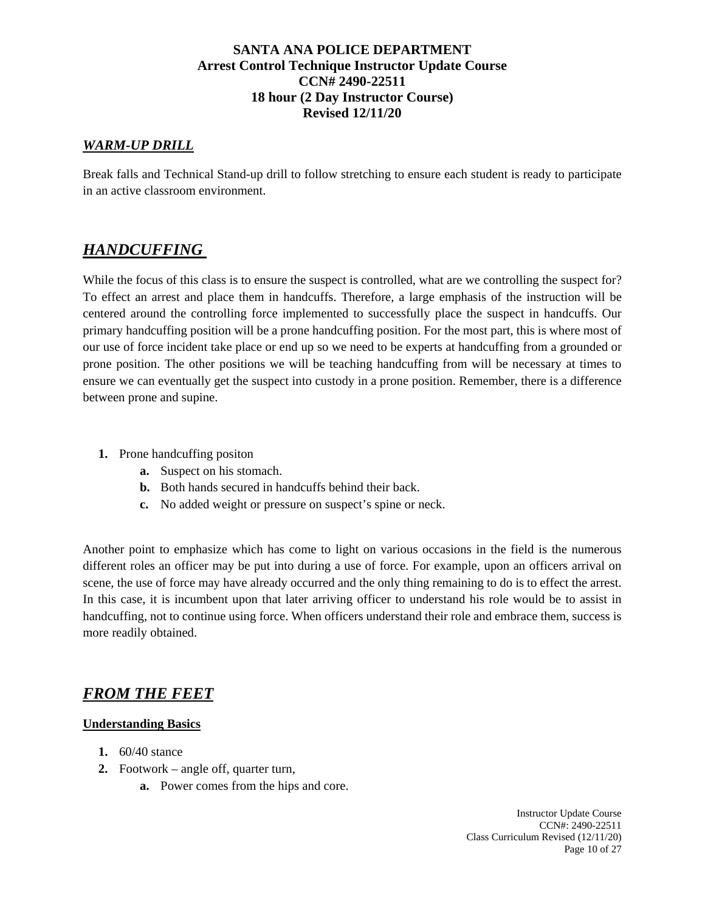## *WARM-UP DRILL*

Break falls and Technical Stand-up drill to follow stretching to ensure each student is ready to participate in an active classroom environment.

# *HANDCUFFING*

While the focus of this class is to ensure the suspect is controlled, what are we controlling the suspect for? To effect an arrest and place them in handcuffs. Therefore, a large emphasis of the instruction will be centered around the controlling force implemented to successfully place the suspect in handcuffs. Our primary handcuffing position will be a prone handcuffing position. For the most part, this is where most of our use of force incident take place or end up so we need to be experts at handcuffing from a grounded or prone position. The other positions we will be teaching handcuffing from will be necessary at times to ensure we can eventually get the suspect into custody in a prone position. Remember, there is a difference between prone and supine.

- **1.** Prone handcuffing positon
	- **a.** Suspect on his stomach.
	- **b.** Both hands secured in handcuffs behind their back.
	- **c.** No added weight or pressure on suspect's spine or neck.

Another point to emphasize which has come to light on various occasions in the field is the numerous different roles an officer may be put into during a use of force. For example, upon an officers arrival on scene, the use of force may have already occurred and the only thing remaining to do is to effect the arrest. In this case, it is incumbent upon that later arriving officer to understand his role would be to assist in handcuffing, not to continue using force. When officers understand their role and embrace them, success is more readily obtained.

# *FROM THE FEET*

#### **Understanding Basics**

- **1.** 60/40 stance
- **2.** Footwork angle off, quarter turn,
	- **a.** Power comes from the hips and core.

Instructor Update Course CCN#: 2490-22511 Class Curriculum Revised (12/11/20) Page 10 of 27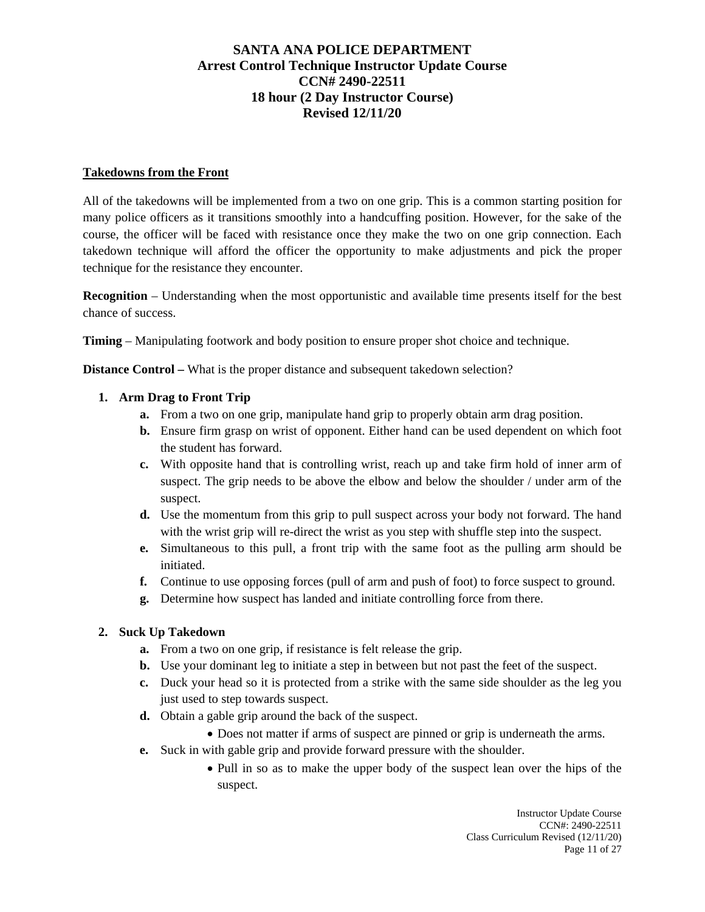#### **Takedowns from the Front**

All of the takedowns will be implemented from a two on one grip. This is a common starting position for many police officers as it transitions smoothly into a handcuffing position. However, for the sake of the course, the officer will be faced with resistance once they make the two on one grip connection. Each takedown technique will afford the officer the opportunity to make adjustments and pick the proper technique for the resistance they encounter.

**Recognition** – Understanding when the most opportunistic and available time presents itself for the best chance of success.

**Timing** – Manipulating footwork and body position to ensure proper shot choice and technique.

**Distance Control –** What is the proper distance and subsequent takedown selection?

#### **1. Arm Drag to Front Trip**

- **a.** From a two on one grip, manipulate hand grip to properly obtain arm drag position.
- **b.** Ensure firm grasp on wrist of opponent. Either hand can be used dependent on which foot the student has forward.
- **c.** With opposite hand that is controlling wrist, reach up and take firm hold of inner arm of suspect. The grip needs to be above the elbow and below the shoulder / under arm of the suspect.
- **d.** Use the momentum from this grip to pull suspect across your body not forward. The hand with the wrist grip will re-direct the wrist as you step with shuffle step into the suspect.
- **e.** Simultaneous to this pull, a front trip with the same foot as the pulling arm should be initiated.
- **f.** Continue to use opposing forces (pull of arm and push of foot) to force suspect to ground.
- **g.** Determine how suspect has landed and initiate controlling force from there.

## **2. Suck Up Takedown**

- **a.** From a two on one grip, if resistance is felt release the grip.
- **b.** Use your dominant leg to initiate a step in between but not past the feet of the suspect.
- **c.** Duck your head so it is protected from a strike with the same side shoulder as the leg you just used to step towards suspect.
- **d.** Obtain a gable grip around the back of the suspect.
	- Does not matter if arms of suspect are pinned or grip is underneath the arms.
- **e.** Suck in with gable grip and provide forward pressure with the shoulder.
	- Pull in so as to make the upper body of the suspect lean over the hips of the suspect.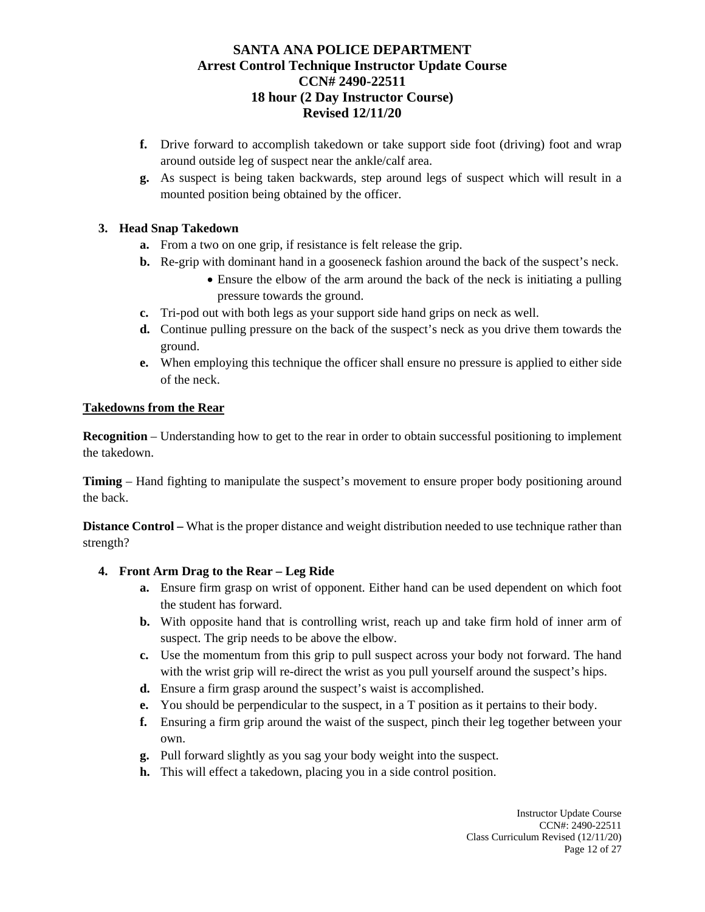- **f.** Drive forward to accomplish takedown or take support side foot (driving) foot and wrap around outside leg of suspect near the ankle/calf area.
- **g.** As suspect is being taken backwards, step around legs of suspect which will result in a mounted position being obtained by the officer.

# **3. Head Snap Takedown**

- **a.** From a two on one grip, if resistance is felt release the grip.
- **b.** Re-grip with dominant hand in a gooseneck fashion around the back of the suspect's neck. • Ensure the elbow of the arm around the back of the neck is initiating a pulling
	- pressure towards the ground.
- **c.** Tri-pod out with both legs as your support side hand grips on neck as well.
- **d.** Continue pulling pressure on the back of the suspect's neck as you drive them towards the ground.
- **e.** When employing this technique the officer shall ensure no pressure is applied to either side of the neck.

#### **Takedowns from the Rear**

**Recognition** – Understanding how to get to the rear in order to obtain successful positioning to implement the takedown.

**Timing** – Hand fighting to manipulate the suspect's movement to ensure proper body positioning around the back.

**Distance Control –** What is the proper distance and weight distribution needed to use technique rather than strength?

## **4. Front Arm Drag to the Rear – Leg Ride**

- **a.** Ensure firm grasp on wrist of opponent. Either hand can be used dependent on which foot the student has forward.
- **b.** With opposite hand that is controlling wrist, reach up and take firm hold of inner arm of suspect. The grip needs to be above the elbow.
- **c.** Use the momentum from this grip to pull suspect across your body not forward. The hand with the wrist grip will re-direct the wrist as you pull yourself around the suspect's hips.
- **d.** Ensure a firm grasp around the suspect's waist is accomplished.
- **e.** You should be perpendicular to the suspect, in a T position as it pertains to their body.
- **f.** Ensuring a firm grip around the waist of the suspect, pinch their leg together between your own.
- **g.** Pull forward slightly as you sag your body weight into the suspect.
- **h.** This will effect a takedown, placing you in a side control position.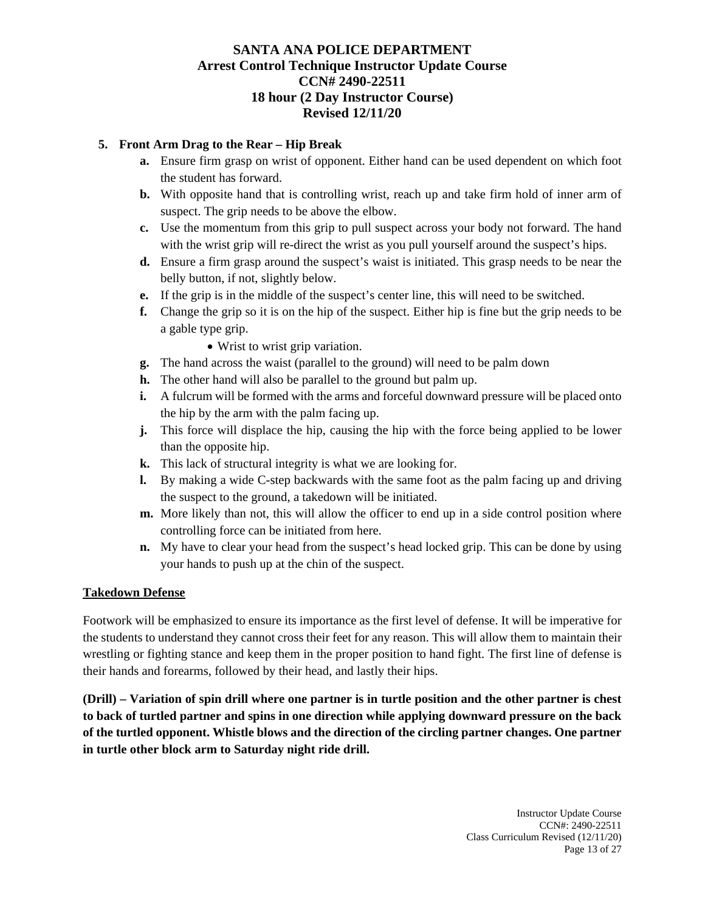## **5. Front Arm Drag to the Rear – Hip Break**

- **a.** Ensure firm grasp on wrist of opponent. Either hand can be used dependent on which foot the student has forward.
- **b.** With opposite hand that is controlling wrist, reach up and take firm hold of inner arm of suspect. The grip needs to be above the elbow.
- **c.** Use the momentum from this grip to pull suspect across your body not forward. The hand with the wrist grip will re-direct the wrist as you pull yourself around the suspect's hips.
- **d.** Ensure a firm grasp around the suspect's waist is initiated. This grasp needs to be near the belly button, if not, slightly below.
- **e.** If the grip is in the middle of the suspect's center line, this will need to be switched.
- **f.** Change the grip so it is on the hip of the suspect. Either hip is fine but the grip needs to be a gable type grip.
	- Wrist to wrist grip variation.
- **g.** The hand across the waist (parallel to the ground) will need to be palm down
- **h.** The other hand will also be parallel to the ground but palm up.
- **i.** A fulcrum will be formed with the arms and forceful downward pressure will be placed onto the hip by the arm with the palm facing up.
- **j.** This force will displace the hip, causing the hip with the force being applied to be lower than the opposite hip.
- **k.** This lack of structural integrity is what we are looking for.
- **l.** By making a wide C-step backwards with the same foot as the palm facing up and driving the suspect to the ground, a takedown will be initiated.
- **m.** More likely than not, this will allow the officer to end up in a side control position where controlling force can be initiated from here.
- **n.** My have to clear your head from the suspect's head locked grip. This can be done by using your hands to push up at the chin of the suspect.

#### **Takedown Defense**

Footwork will be emphasized to ensure its importance as the first level of defense. It will be imperative for the students to understand they cannot cross their feet for any reason. This will allow them to maintain their wrestling or fighting stance and keep them in the proper position to hand fight. The first line of defense is their hands and forearms, followed by their head, and lastly their hips.

**(Drill) – Variation of spin drill where one partner is in turtle position and the other partner is chest to back of turtled partner and spins in one direction while applying downward pressure on the back of the turtled opponent. Whistle blows and the direction of the circling partner changes. One partner in turtle other block arm to Saturday night ride drill.**

> Instructor Update Course CCN#: 2490-22511 Class Curriculum Revised (12/11/20) Page 13 of 27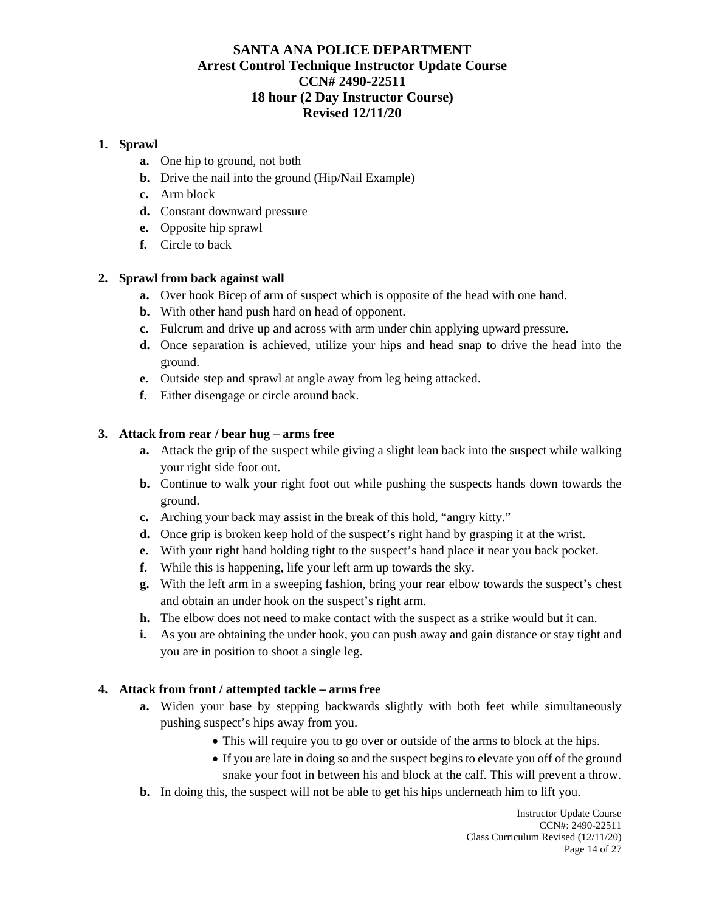#### **1. Sprawl**

- **a.** One hip to ground, not both
- **b.** Drive the nail into the ground (Hip/Nail Example)
- **c.** Arm block
- **d.** Constant downward pressure
- **e.** Opposite hip sprawl
- **f.** Circle to back

#### **2. Sprawl from back against wall**

- **a.** Over hook Bicep of arm of suspect which is opposite of the head with one hand.
- **b.** With other hand push hard on head of opponent.
- **c.** Fulcrum and drive up and across with arm under chin applying upward pressure.
- **d.** Once separation is achieved, utilize your hips and head snap to drive the head into the ground.
- **e.** Outside step and sprawl at angle away from leg being attacked.
- **f.** Either disengage or circle around back.

#### **3. Attack from rear / bear hug – arms free**

- **a.** Attack the grip of the suspect while giving a slight lean back into the suspect while walking your right side foot out.
- **b.** Continue to walk your right foot out while pushing the suspects hands down towards the ground.
- **c.** Arching your back may assist in the break of this hold, "angry kitty."
- **d.** Once grip is broken keep hold of the suspect's right hand by grasping it at the wrist.
- **e.** With your right hand holding tight to the suspect's hand place it near you back pocket.
- **f.** While this is happening, life your left arm up towards the sky.
- **g.** With the left arm in a sweeping fashion, bring your rear elbow towards the suspect's chest and obtain an under hook on the suspect's right arm.
- **h.** The elbow does not need to make contact with the suspect as a strike would but it can.
- **i.** As you are obtaining the under hook, you can push away and gain distance or stay tight and you are in position to shoot a single leg.

#### **4. Attack from front / attempted tackle – arms free**

- **a.** Widen your base by stepping backwards slightly with both feet while simultaneously pushing suspect's hips away from you.
	- This will require you to go over or outside of the arms to block at the hips.
	- If you are late in doing so and the suspect begins to elevate you off of the ground snake your foot in between his and block at the calf. This will prevent a throw.
- **b.** In doing this, the suspect will not be able to get his hips underneath him to lift you.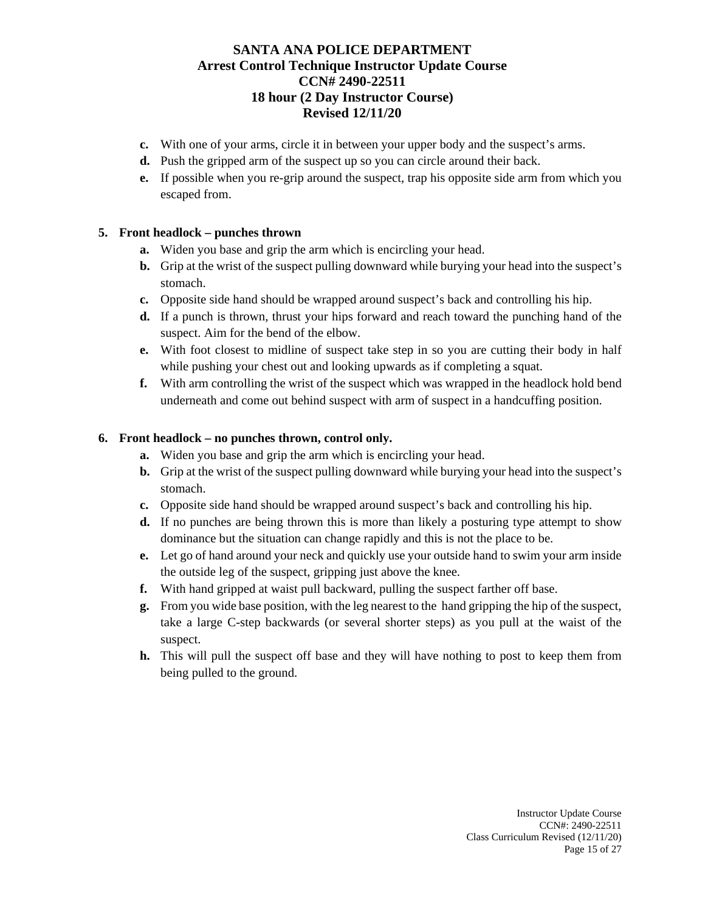- **c.** With one of your arms, circle it in between your upper body and the suspect's arms.
- **d.** Push the gripped arm of the suspect up so you can circle around their back.
- **e.** If possible when you re-grip around the suspect, trap his opposite side arm from which you escaped from.

#### **5. Front headlock – punches thrown**

- **a.** Widen you base and grip the arm which is encircling your head.
- **b.** Grip at the wrist of the suspect pulling downward while burying your head into the suspect's stomach.
- **c.** Opposite side hand should be wrapped around suspect's back and controlling his hip.
- **d.** If a punch is thrown, thrust your hips forward and reach toward the punching hand of the suspect. Aim for the bend of the elbow.
- **e.** With foot closest to midline of suspect take step in so you are cutting their body in half while pushing your chest out and looking upwards as if completing a squat.
- **f.** With arm controlling the wrist of the suspect which was wrapped in the headlock hold bend underneath and come out behind suspect with arm of suspect in a handcuffing position.

#### **6. Front headlock – no punches thrown, control only.**

- **a.** Widen you base and grip the arm which is encircling your head.
- **b.** Grip at the wrist of the suspect pulling downward while burying your head into the suspect's stomach.
- **c.** Opposite side hand should be wrapped around suspect's back and controlling his hip.
- **d.** If no punches are being thrown this is more than likely a posturing type attempt to show dominance but the situation can change rapidly and this is not the place to be.
- **e.** Let go of hand around your neck and quickly use your outside hand to swim your arm inside the outside leg of the suspect, gripping just above the knee.
- **f.** With hand gripped at waist pull backward, pulling the suspect farther off base.
- **g.** From you wide base position, with the leg nearest to the hand gripping the hip of the suspect, take a large C-step backwards (or several shorter steps) as you pull at the waist of the suspect.
- **h.** This will pull the suspect off base and they will have nothing to post to keep them from being pulled to the ground.

Instructor Update Course CCN#: 2490-22511 Class Curriculum Revised (12/11/20) Page 15 of 27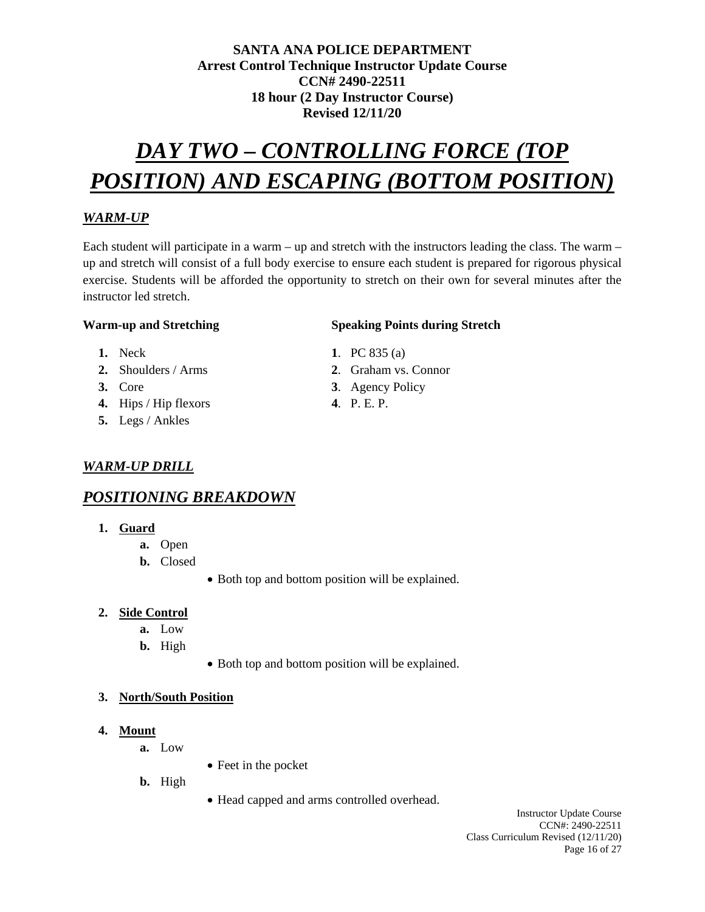# *DAY TWO – CONTROLLING FORCE (TOP POSITION) AND ESCAPING (BOTTOM POSITION)*

# *WARM-UP*

Each student will participate in a warm – up and stretch with the instructors leading the class. The warm – up and stretch will consist of a full body exercise to ensure each student is prepared for rigorous physical exercise. Students will be afforded the opportunity to stretch on their own for several minutes after the instructor led stretch.

#### **Warm-up and Stretching Speaking Points during Stretch**

- 
- **2.** Shoulders / Arms **2**. Graham vs. Connor
- 
- **4.** Hips / Hip flexors **4**. P. E. P.
- **5.** Legs / Ankles

# *WARM-UP DRILL*

# *POSITIONING BREAKDOWN*

- **1. Guard** 
	- **a.** Open
	- **b.** Closed
- Both top and bottom position will be explained.
- **2. Side Control**
	- **a.** Low
	- **b.** High
- Both top and bottom position will be explained.

## **3. North/South Position**

- **4. Mount**
	- **a.** Low
- Feet in the pocket
- **b.** High
- Head capped and arms controlled overhead.

#### Instructor Update Course CCN#: 2490-22511 Class Curriculum Revised (12/11/20) Page 16 of 27

- **1.** Neck **1**. PC 835 (a)
	-
- **3.** Core **3**. Agency Policy
	-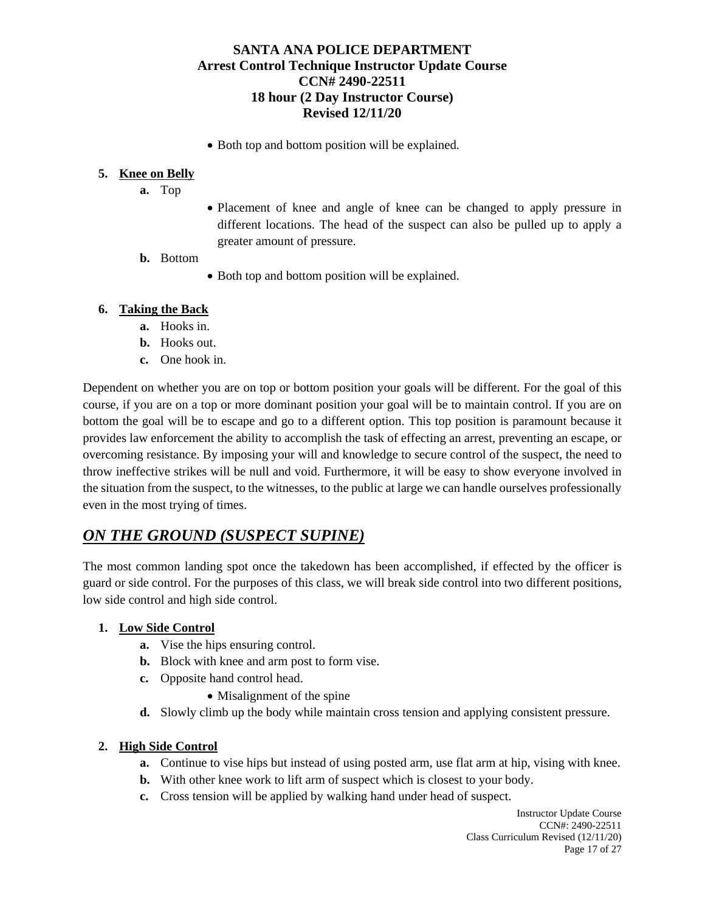• Both top and bottom position will be explained.

#### **5. Knee on Belly**

- **a.** Top
- Placement of knee and angle of knee can be changed to apply pressure in different locations. The head of the suspect can also be pulled up to apply a greater amount of pressure.
- **b.** Bottom
- Both top and bottom position will be explained.

#### **6. Taking the Back**

- **a.** Hooks in.
- **b.** Hooks out.
- **c.** One hook in.

Dependent on whether you are on top or bottom position your goals will be different. For the goal of this course, if you are on a top or more dominant position your goal will be to maintain control. If you are on bottom the goal will be to escape and go to a different option. This top position is paramount because it provides law enforcement the ability to accomplish the task of effecting an arrest, preventing an escape, or overcoming resistance. By imposing your will and knowledge to secure control of the suspect, the need to throw ineffective strikes will be null and void. Furthermore, it will be easy to show everyone involved in the situation from the suspect, to the witnesses, to the public at large we can handle ourselves professionally even in the most trying of times.

# *ON THE GROUND (SUSPECT SUPINE)*

The most common landing spot once the takedown has been accomplished, if effected by the officer is guard or side control. For the purposes of this class, we will break side control into two different positions, low side control and high side control.

## **1. Low Side Control**

- **a.** Vise the hips ensuring control.
- **b.** Block with knee and arm post to form vise.
- **c.** Opposite hand control head.
	- Misalignment of the spine
- **d.** Slowly climb up the body while maintain cross tension and applying consistent pressure.

#### **2. High Side Control**

- **a.** Continue to vise hips but instead of using posted arm, use flat arm at hip, vising with knee.
- **b.** With other knee work to lift arm of suspect which is closest to your body.
- **c.** Cross tension will be applied by walking hand under head of suspect.

Instructor Update Course CCN#: 2490-22511 Class Curriculum Revised (12/11/20) Page 17 of 27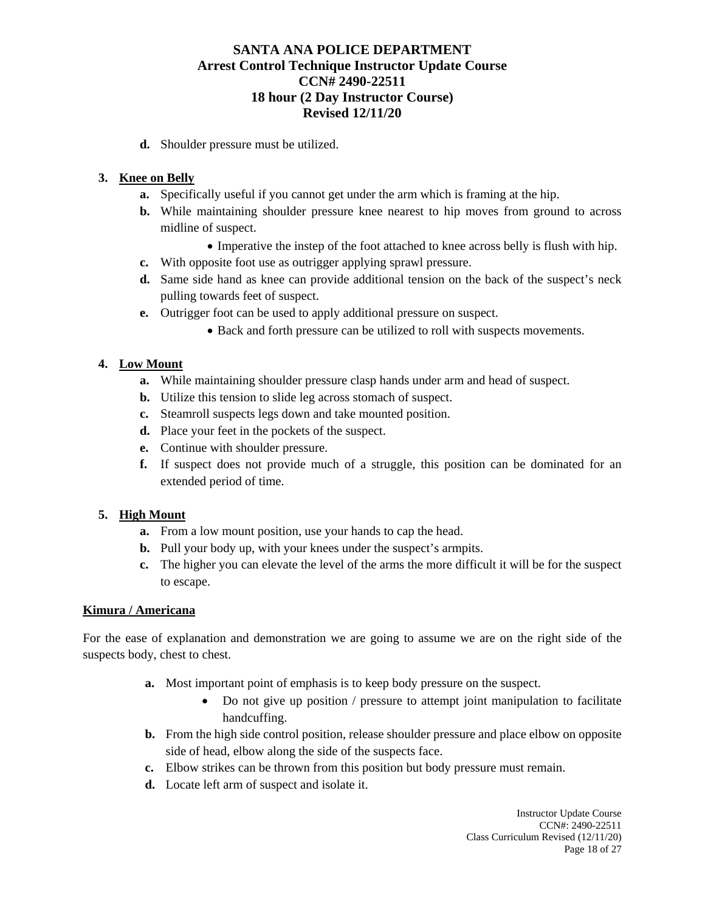**d.** Shoulder pressure must be utilized.

#### **3. Knee on Belly**

- **a.** Specifically useful if you cannot get under the arm which is framing at the hip.
- **b.** While maintaining shoulder pressure knee nearest to hip moves from ground to across midline of suspect.
	- Imperative the instep of the foot attached to knee across belly is flush with hip.
- **c.** With opposite foot use as outrigger applying sprawl pressure.
- **d.** Same side hand as knee can provide additional tension on the back of the suspect's neck pulling towards feet of suspect.
- **e.** Outrigger foot can be used to apply additional pressure on suspect.
	- Back and forth pressure can be utilized to roll with suspects movements.

## **4. Low Mount**

- **a.** While maintaining shoulder pressure clasp hands under arm and head of suspect.
- **b.** Utilize this tension to slide leg across stomach of suspect.
- **c.** Steamroll suspects legs down and take mounted position.
- **d.** Place your feet in the pockets of the suspect.
- **e.** Continue with shoulder pressure.
- **f.** If suspect does not provide much of a struggle, this position can be dominated for an extended period of time.

#### **5. High Mount**

- **a.** From a low mount position, use your hands to cap the head.
- **b.** Pull your body up, with your knees under the suspect's armpits.
- **c.** The higher you can elevate the level of the arms the more difficult it will be for the suspect to escape.

#### **Kimura / Americana**

For the ease of explanation and demonstration we are going to assume we are on the right side of the suspects body, chest to chest.

- **a.** Most important point of emphasis is to keep body pressure on the suspect.
	- Do not give up position / pressure to attempt joint manipulation to facilitate handcuffing.
- **b.** From the high side control position, release shoulder pressure and place elbow on opposite side of head, elbow along the side of the suspects face.
- **c.** Elbow strikes can be thrown from this position but body pressure must remain.
- **d.** Locate left arm of suspect and isolate it.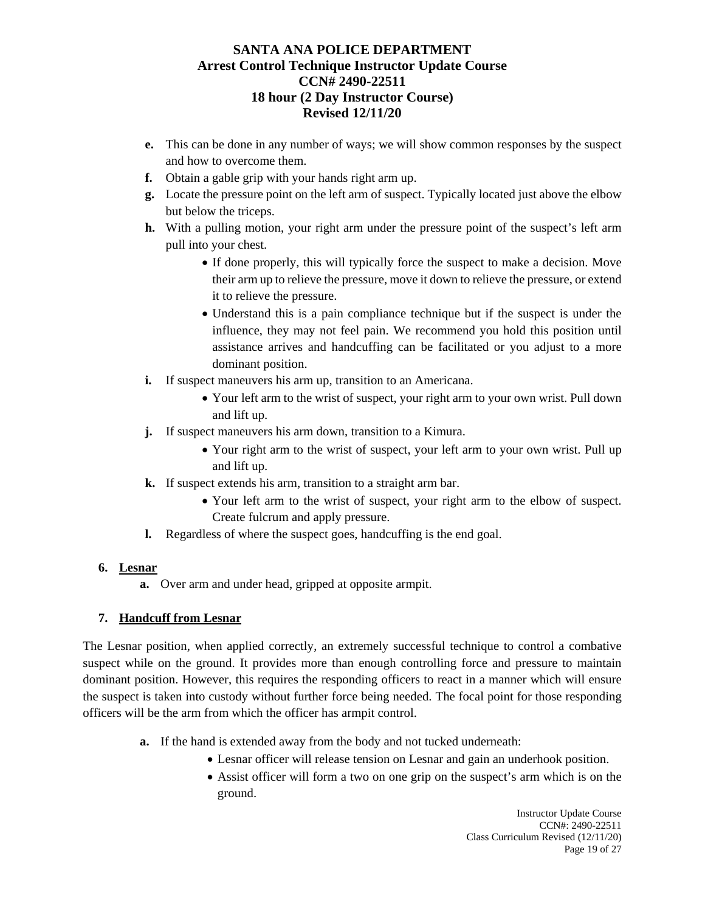- **e.** This can be done in any number of ways; we will show common responses by the suspect and how to overcome them.
- **f.** Obtain a gable grip with your hands right arm up.
- **g.** Locate the pressure point on the left arm of suspect. Typically located just above the elbow but below the triceps.
- **h.** With a pulling motion, your right arm under the pressure point of the suspect's left arm pull into your chest.
	- If done properly, this will typically force the suspect to make a decision. Move their arm up to relieve the pressure, move it down to relieve the pressure, or extend it to relieve the pressure.
	- Understand this is a pain compliance technique but if the suspect is under the influence, they may not feel pain. We recommend you hold this position until assistance arrives and handcuffing can be facilitated or you adjust to a more dominant position.
- **i.** If suspect maneuvers his arm up, transition to an Americana.
	- Your left arm to the wrist of suspect, your right arm to your own wrist. Pull down and lift up.
- **j.** If suspect maneuvers his arm down, transition to a Kimura.
	- Your right arm to the wrist of suspect, your left arm to your own wrist. Pull up and lift up.
- **k.** If suspect extends his arm, transition to a straight arm bar.
	- Your left arm to the wrist of suspect, your right arm to the elbow of suspect. Create fulcrum and apply pressure.
- **l.** Regardless of where the suspect goes, handcuffing is the end goal.

# **6. Lesnar**

**a.** Over arm and under head, gripped at opposite armpit.

# **7. Handcuff from Lesnar**

The Lesnar position, when applied correctly, an extremely successful technique to control a combative suspect while on the ground. It provides more than enough controlling force and pressure to maintain dominant position. However, this requires the responding officers to react in a manner which will ensure the suspect is taken into custody without further force being needed. The focal point for those responding officers will be the arm from which the officer has armpit control.

- **a.** If the hand is extended away from the body and not tucked underneath:
	- Lesnar officer will release tension on Lesnar and gain an underhook position.
	- Assist officer will form a two on one grip on the suspect's arm which is on the ground.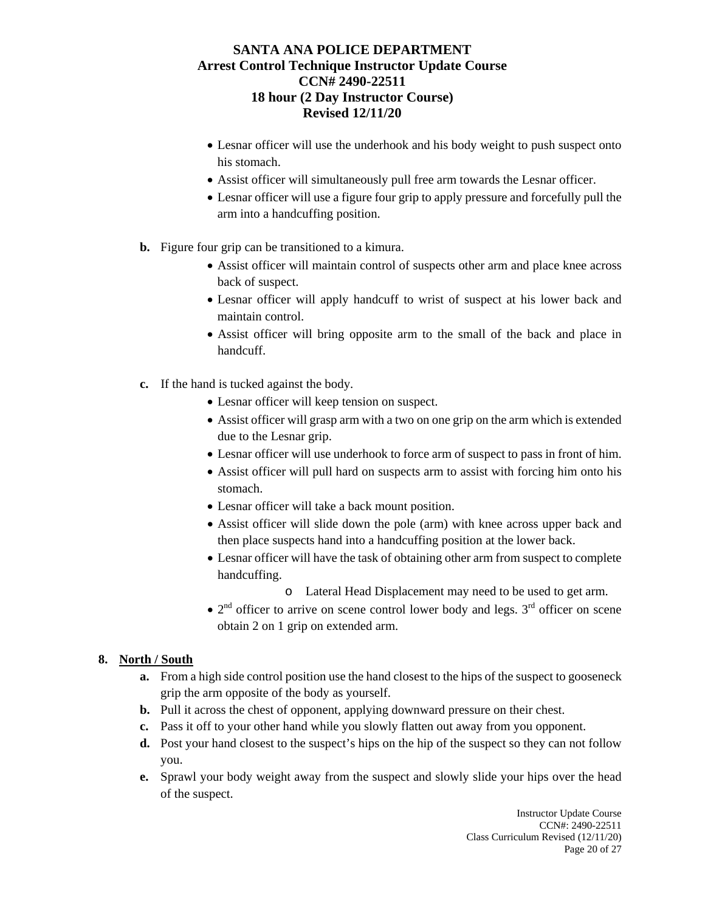- Lesnar officer will use the underhook and his body weight to push suspect onto his stomach.
- Assist officer will simultaneously pull free arm towards the Lesnar officer.
- Lesnar officer will use a figure four grip to apply pressure and forcefully pull the arm into a handcuffing position.
- **b.** Figure four grip can be transitioned to a kimura.
	- Assist officer will maintain control of suspects other arm and place knee across back of suspect.
	- Lesnar officer will apply handcuff to wrist of suspect at his lower back and maintain control.
	- Assist officer will bring opposite arm to the small of the back and place in handcuff.
- **c.** If the hand is tucked against the body.
	- Lesnar officer will keep tension on suspect.
	- Assist officer will grasp arm with a two on one grip on the arm which is extended due to the Lesnar grip.
	- Lesnar officer will use underhook to force arm of suspect to pass in front of him.
	- Assist officer will pull hard on suspects arm to assist with forcing him onto his stomach.
	- Lesnar officer will take a back mount position.
	- Assist officer will slide down the pole (arm) with knee across upper back and then place suspects hand into a handcuffing position at the lower back.
	- Lesnar officer will have the task of obtaining other arm from suspect to complete handcuffing.
		- o Lateral Head Displacement may need to be used to get arm.
	- $2<sup>nd</sup>$  officer to arrive on scene control lower body and legs.  $3<sup>rd</sup>$  officer on scene obtain 2 on 1 grip on extended arm.

#### **8. North / South**

- **a.** From a high side control position use the hand closest to the hips of the suspect to gooseneck grip the arm opposite of the body as yourself.
- **b.** Pull it across the chest of opponent, applying downward pressure on their chest.
- **c.** Pass it off to your other hand while you slowly flatten out away from you opponent.
- **d.** Post your hand closest to the suspect's hips on the hip of the suspect so they can not follow you.
- **e.** Sprawl your body weight away from the suspect and slowly slide your hips over the head of the suspect.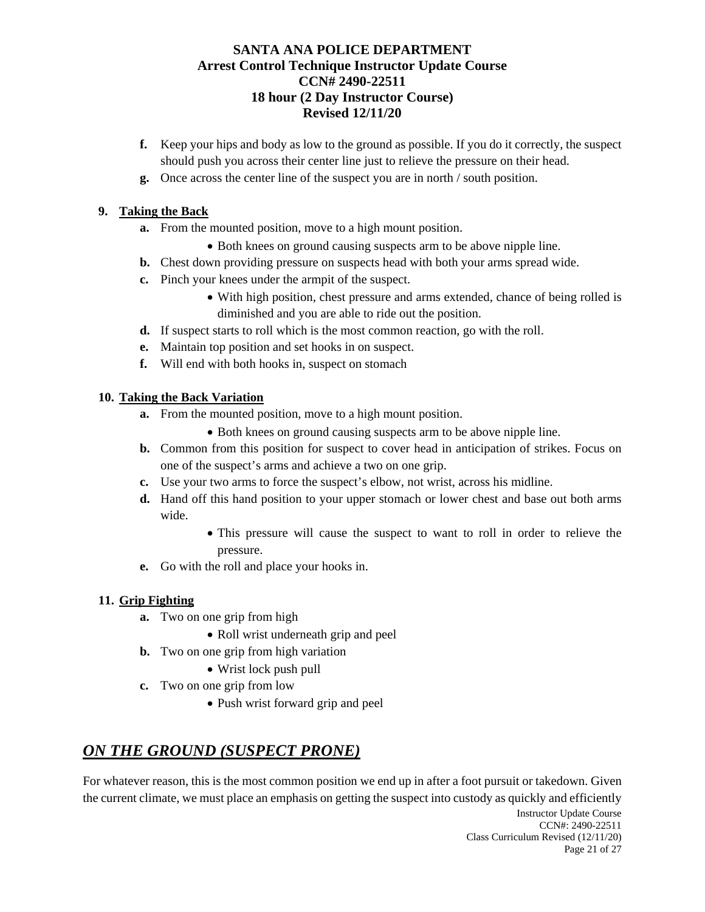- **f.** Keep your hips and body as low to the ground as possible. If you do it correctly, the suspect should push you across their center line just to relieve the pressure on their head.
- **g.** Once across the center line of the suspect you are in north / south position.

# **9. Taking the Back**

- **a.** From the mounted position, move to a high mount position.
	- Both knees on ground causing suspects arm to be above nipple line.
- **b.** Chest down providing pressure on suspects head with both your arms spread wide.
- **c.** Pinch your knees under the armpit of the suspect.
	- With high position, chest pressure and arms extended, chance of being rolled is diminished and you are able to ride out the position.
- **d.** If suspect starts to roll which is the most common reaction, go with the roll.
- **e.** Maintain top position and set hooks in on suspect.
- **f.** Will end with both hooks in, suspect on stomach

# **10. Taking the Back Variation**

- **a.** From the mounted position, move to a high mount position.
	- Both knees on ground causing suspects arm to be above nipple line.
- **b.** Common from this position for suspect to cover head in anticipation of strikes. Focus on one of the suspect's arms and achieve a two on one grip.
- **c.** Use your two arms to force the suspect's elbow, not wrist, across his midline.
- **d.** Hand off this hand position to your upper stomach or lower chest and base out both arms wide.
	- This pressure will cause the suspect to want to roll in order to relieve the pressure.
- **e.** Go with the roll and place your hooks in.

## **11. Grip Fighting**

- **a.** Two on one grip from high
	- Roll wrist underneath grip and peel
- **b.** Two on one grip from high variation
	- Wrist lock push pull
- **c.** Two on one grip from low
	- Push wrist forward grip and peel

# *ON THE GROUND (SUSPECT PRONE)*

For whatever reason, this is the most common position we end up in after a foot pursuit or takedown. Given the current climate, we must place an emphasis on getting the suspect into custody as quickly and efficiently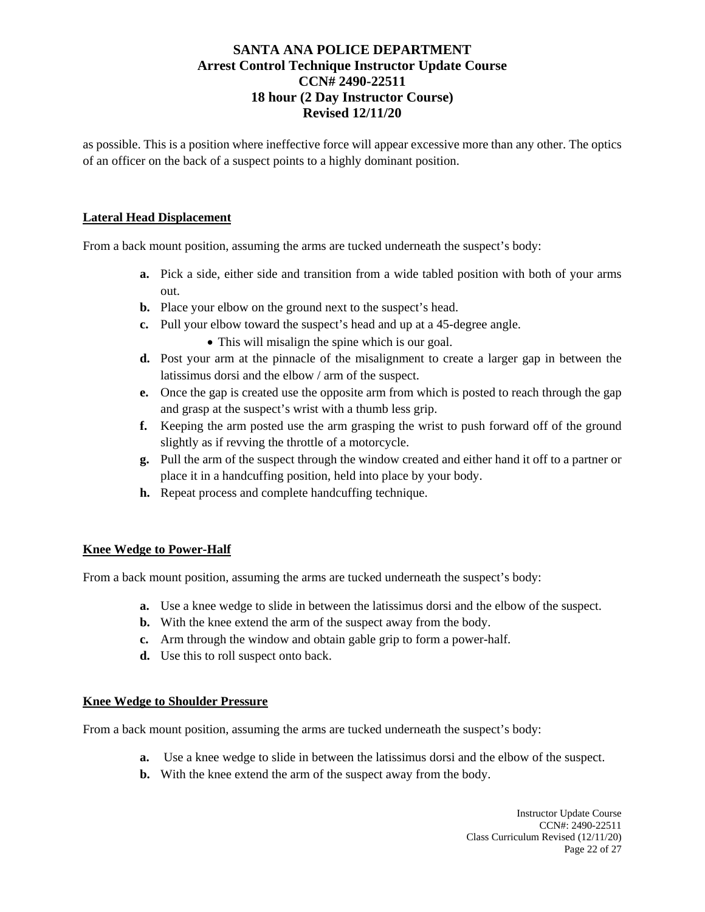as possible. This is a position where ineffective force will appear excessive more than any other. The optics of an officer on the back of a suspect points to a highly dominant position.

#### **Lateral Head Displacement**

From a back mount position, assuming the arms are tucked underneath the suspect's body:

- **a.** Pick a side, either side and transition from a wide tabled position with both of your arms out.
- **b.** Place your elbow on the ground next to the suspect's head.
- **c.** Pull your elbow toward the suspect's head and up at a 45-degree angle.
	- This will misalign the spine which is our goal.
- **d.** Post your arm at the pinnacle of the misalignment to create a larger gap in between the latissimus dorsi and the elbow / arm of the suspect.
- **e.** Once the gap is created use the opposite arm from which is posted to reach through the gap and grasp at the suspect's wrist with a thumb less grip.
- **f.** Keeping the arm posted use the arm grasping the wrist to push forward off of the ground slightly as if revving the throttle of a motorcycle.
- **g.** Pull the arm of the suspect through the window created and either hand it off to a partner or place it in a handcuffing position, held into place by your body.
- **h.** Repeat process and complete handcuffing technique.

#### **Knee Wedge to Power-Half**

From a back mount position, assuming the arms are tucked underneath the suspect's body:

- **a.** Use a knee wedge to slide in between the latissimus dorsi and the elbow of the suspect.
- **b.** With the knee extend the arm of the suspect away from the body.
- **c.** Arm through the window and obtain gable grip to form a power-half.
- **d.** Use this to roll suspect onto back.

#### **Knee Wedge to Shoulder Pressure**

From a back mount position, assuming the arms are tucked underneath the suspect's body:

- **a.** Use a knee wedge to slide in between the latissimus dorsi and the elbow of the suspect.
- **b.** With the knee extend the arm of the suspect away from the body.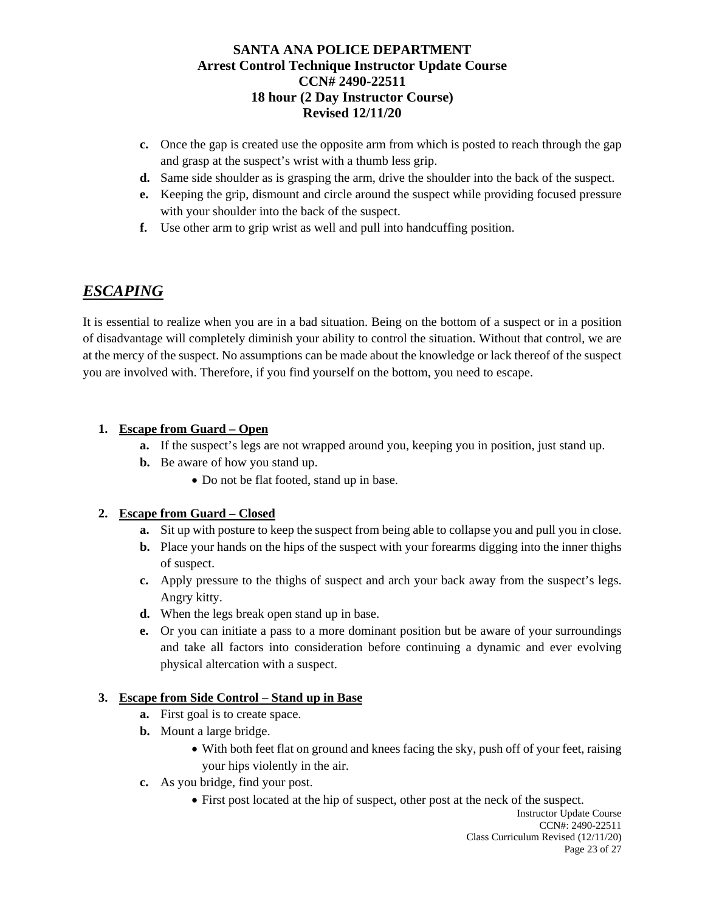- **c.** Once the gap is created use the opposite arm from which is posted to reach through the gap and grasp at the suspect's wrist with a thumb less grip.
- **d.** Same side shoulder as is grasping the arm, drive the shoulder into the back of the suspect.
- **e.** Keeping the grip, dismount and circle around the suspect while providing focused pressure with your shoulder into the back of the suspect.
- **f.** Use other arm to grip wrist as well and pull into handcuffing position.

# *ESCAPING*

It is essential to realize when you are in a bad situation. Being on the bottom of a suspect or in a position of disadvantage will completely diminish your ability to control the situation. Without that control, we are at the mercy of the suspect. No assumptions can be made about the knowledge or lack thereof of the suspect you are involved with. Therefore, if you find yourself on the bottom, you need to escape.

# **1. Escape from Guard – Open**

- **a.** If the suspect's legs are not wrapped around you, keeping you in position, just stand up.
- **b.** Be aware of how you stand up.
	- Do not be flat footed, stand up in base.

## **2. Escape from Guard – Closed**

- **a.** Sit up with posture to keep the suspect from being able to collapse you and pull you in close.
- **b.** Place your hands on the hips of the suspect with your forearms digging into the inner thighs of suspect.
- **c.** Apply pressure to the thighs of suspect and arch your back away from the suspect's legs. Angry kitty.
- **d.** When the legs break open stand up in base.
- **e.** Or you can initiate a pass to a more dominant position but be aware of your surroundings and take all factors into consideration before continuing a dynamic and ever evolving physical altercation with a suspect.

## **3. Escape from Side Control – Stand up in Base**

- **a.** First goal is to create space.
- **b.** Mount a large bridge.
	- With both feet flat on ground and knees facing the sky, push off of your feet, raising your hips violently in the air.
- **c.** As you bridge, find your post.
	- First post located at the hip of suspect, other post at the neck of the suspect.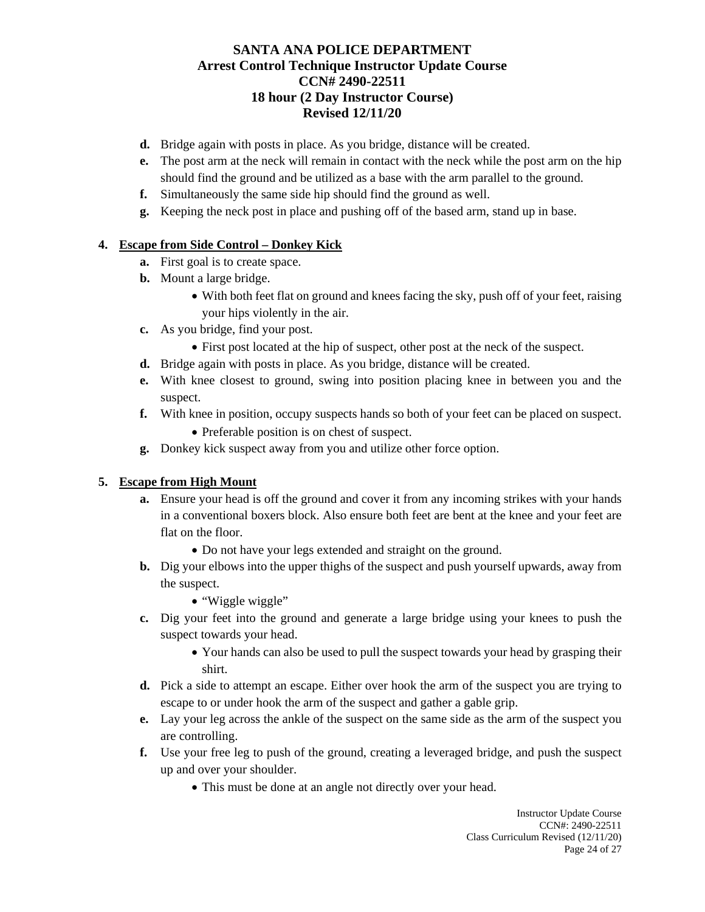- **d.** Bridge again with posts in place. As you bridge, distance will be created.
- **e.** The post arm at the neck will remain in contact with the neck while the post arm on the hip should find the ground and be utilized as a base with the arm parallel to the ground.
- **f.** Simultaneously the same side hip should find the ground as well.
- **g.** Keeping the neck post in place and pushing off of the based arm, stand up in base.

#### **4. Escape from Side Control – Donkey Kick**

- **a.** First goal is to create space.
- **b.** Mount a large bridge.
	- With both feet flat on ground and knees facing the sky, push off of your feet, raising your hips violently in the air.
- **c.** As you bridge, find your post.
	- First post located at the hip of suspect, other post at the neck of the suspect.
- **d.** Bridge again with posts in place. As you bridge, distance will be created.
- **e.** With knee closest to ground, swing into position placing knee in between you and the suspect.
- **f.** With knee in position, occupy suspects hands so both of your feet can be placed on suspect.
	- Preferable position is on chest of suspect.
- **g.** Donkey kick suspect away from you and utilize other force option.

## **5. Escape from High Mount**

- **a.** Ensure your head is off the ground and cover it from any incoming strikes with your hands in a conventional boxers block. Also ensure both feet are bent at the knee and your feet are flat on the floor.
	- Do not have your legs extended and straight on the ground.
- **b.** Dig your elbows into the upper thighs of the suspect and push yourself upwards, away from the suspect.
	- "Wiggle wiggle"
- **c.** Dig your feet into the ground and generate a large bridge using your knees to push the suspect towards your head.
	- Your hands can also be used to pull the suspect towards your head by grasping their shirt.
- **d.** Pick a side to attempt an escape. Either over hook the arm of the suspect you are trying to escape to or under hook the arm of the suspect and gather a gable grip.
- **e.** Lay your leg across the ankle of the suspect on the same side as the arm of the suspect you are controlling.
- **f.** Use your free leg to push of the ground, creating a leveraged bridge, and push the suspect up and over your shoulder.
	- This must be done at an angle not directly over your head.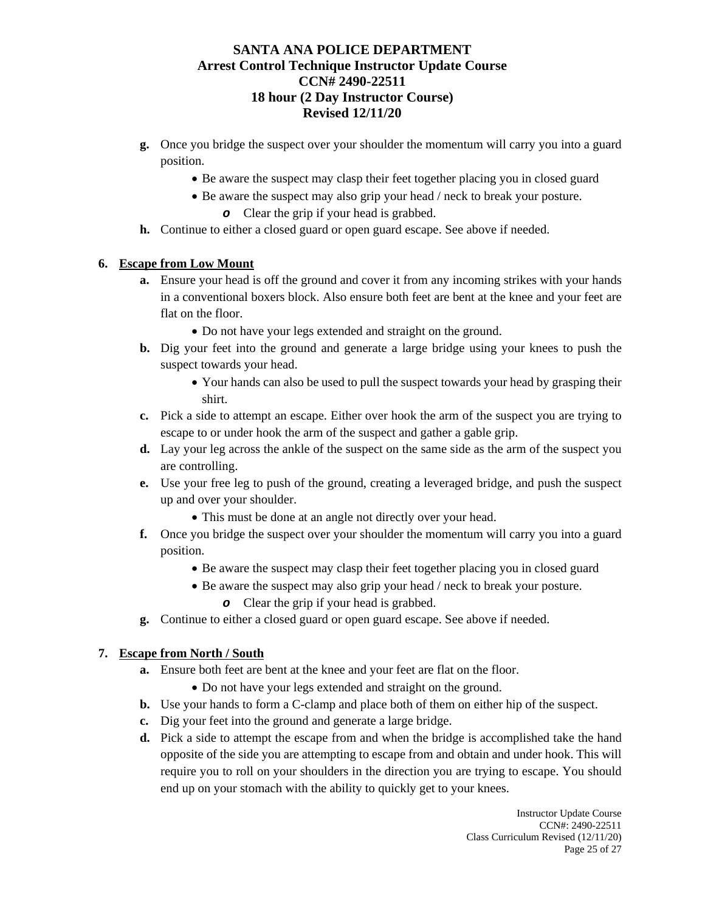- **g.** Once you bridge the suspect over your shoulder the momentum will carry you into a guard position.
	- Be aware the suspect may clasp their feet together placing you in closed guard
	- Be aware the suspect may also grip your head / neck to break your posture.
		- *o* Clear the grip if your head is grabbed.
- **h.** Continue to either a closed guard or open guard escape. See above if needed.

#### **6. Escape from Low Mount**

- **a.** Ensure your head is off the ground and cover it from any incoming strikes with your hands in a conventional boxers block. Also ensure both feet are bent at the knee and your feet are flat on the floor.
	- Do not have your legs extended and straight on the ground.
- **b.** Dig your feet into the ground and generate a large bridge using your knees to push the suspect towards your head.
	- Your hands can also be used to pull the suspect towards your head by grasping their shirt.
- **c.** Pick a side to attempt an escape. Either over hook the arm of the suspect you are trying to escape to or under hook the arm of the suspect and gather a gable grip.
- **d.** Lay your leg across the ankle of the suspect on the same side as the arm of the suspect you are controlling.
- **e.** Use your free leg to push of the ground, creating a leveraged bridge, and push the suspect up and over your shoulder.
	- This must be done at an angle not directly over your head.
- **f.** Once you bridge the suspect over your shoulder the momentum will carry you into a guard position.
	- Be aware the suspect may clasp their feet together placing you in closed guard
	- Be aware the suspect may also grip your head / neck to break your posture.
		- *o* Clear the grip if your head is grabbed.
- **g.** Continue to either a closed guard or open guard escape. See above if needed.

#### **7. Escape from North / South**

- **a.** Ensure both feet are bent at the knee and your feet are flat on the floor.
	- Do not have your legs extended and straight on the ground.
- **b.** Use your hands to form a C-clamp and place both of them on either hip of the suspect.
- **c.** Dig your feet into the ground and generate a large bridge.
- **d.** Pick a side to attempt the escape from and when the bridge is accomplished take the hand opposite of the side you are attempting to escape from and obtain and under hook. This will require you to roll on your shoulders in the direction you are trying to escape. You should end up on your stomach with the ability to quickly get to your knees.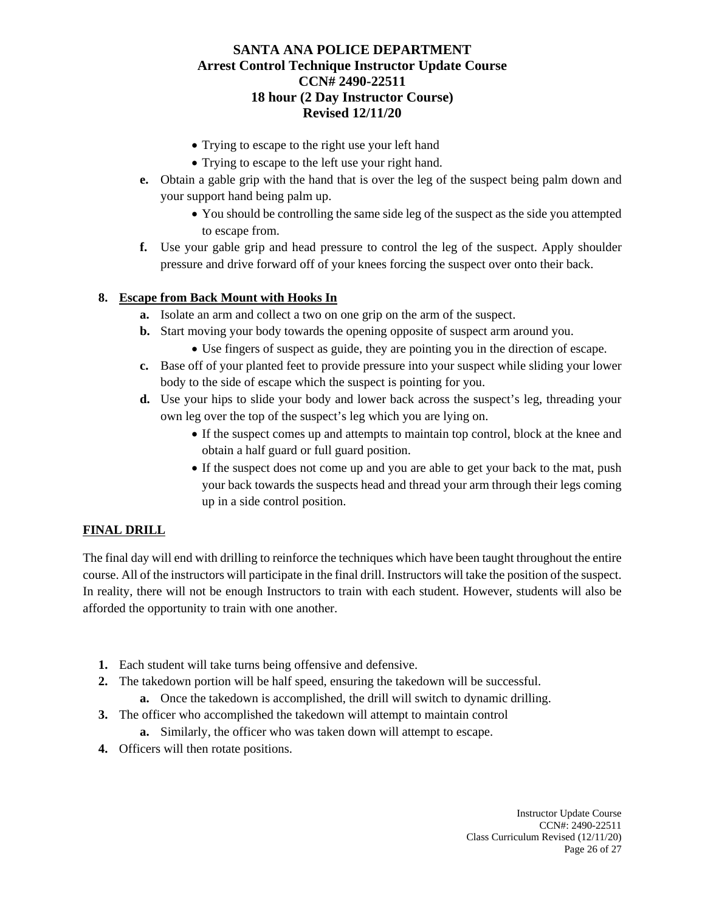- Trying to escape to the right use your left hand
- Trying to escape to the left use your right hand.
- **e.** Obtain a gable grip with the hand that is over the leg of the suspect being palm down and your support hand being palm up.
	- You should be controlling the same side leg of the suspect as the side you attempted to escape from.
- **f.** Use your gable grip and head pressure to control the leg of the suspect. Apply shoulder pressure and drive forward off of your knees forcing the suspect over onto their back.

# **8. Escape from Back Mount with Hooks In**

- **a.** Isolate an arm and collect a two on one grip on the arm of the suspect.
- **b.** Start moving your body towards the opening opposite of suspect arm around you.
	- Use fingers of suspect as guide, they are pointing you in the direction of escape.
- **c.** Base off of your planted feet to provide pressure into your suspect while sliding your lower body to the side of escape which the suspect is pointing for you.
- **d.** Use your hips to slide your body and lower back across the suspect's leg, threading your own leg over the top of the suspect's leg which you are lying on.
	- If the suspect comes up and attempts to maintain top control, block at the knee and obtain a half guard or full guard position.
	- If the suspect does not come up and you are able to get your back to the mat, push your back towards the suspects head and thread your arm through their legs coming up in a side control position.

## **FINAL DRILL**

The final day will end with drilling to reinforce the techniques which have been taught throughout the entire course. All of the instructors will participate in the final drill. Instructors will take the position of the suspect. In reality, there will not be enough Instructors to train with each student. However, students will also be afforded the opportunity to train with one another.

- **1.** Each student will take turns being offensive and defensive.
- **2.** The takedown portion will be half speed, ensuring the takedown will be successful. **a.** Once the takedown is accomplished, the drill will switch to dynamic drilling.
- 
- **3.** The officer who accomplished the takedown will attempt to maintain control
	- **a.** Similarly, the officer who was taken down will attempt to escape.
- **4.** Officers will then rotate positions.

Instructor Update Course CCN#: 2490-22511 Class Curriculum Revised (12/11/20) Page 26 of 27